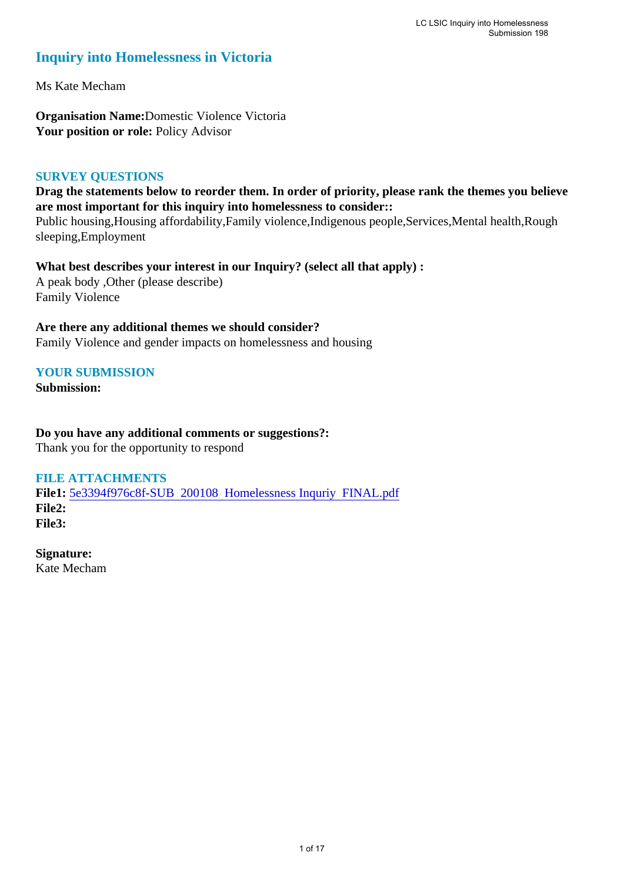# **Inquiry into Homelessness in Victoria**

Ms Kate Mecham

**Organisation Name:**Domestic Violence Victoria Your position or role: Policy Advisor

### **SURVEY QUESTIONS**

**Drag the statements below to reorder them. In order of priority, please rank the themes you believe are most important for this inquiry into homelessness to consider::** 

Public housing,Housing affordability,Family violence,Indigenous people,Services,Mental health,Rough sleeping,Employment

**What best describes your interest in our Inquiry? (select all that apply) :**  A peak body ,Other (please describe) Family Violence

### **Are there any additional themes we should consider?**

Family Violence and gender impacts on homelessness and housing

### **YOUR SUBMISSION**

**Submission:** 

**Do you have any additional comments or suggestions?:**  Thank you for the opportunity to respond

### **FILE ATTACHMENTS**

**File1:** 5e3394f976c8f-SUB 200108 Homelessness Inquriy FINAL.pdf **File2: File3:** 

**Signature:** Kate Mecham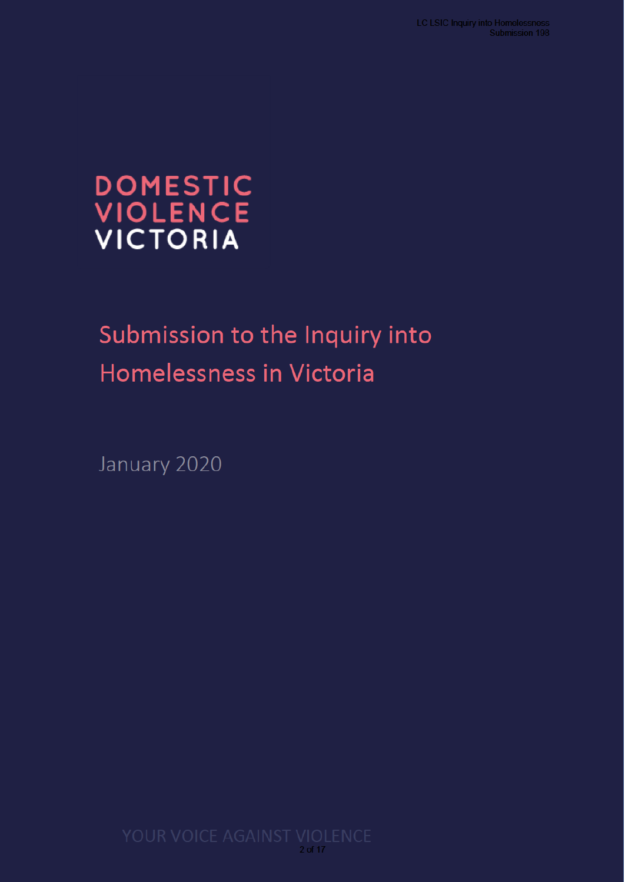# DOMESTIC<br>VIOLENCE<br>VICTORIA

# Submission to the Inquiry into Homelessness in Victoria

January 2020

2 of 17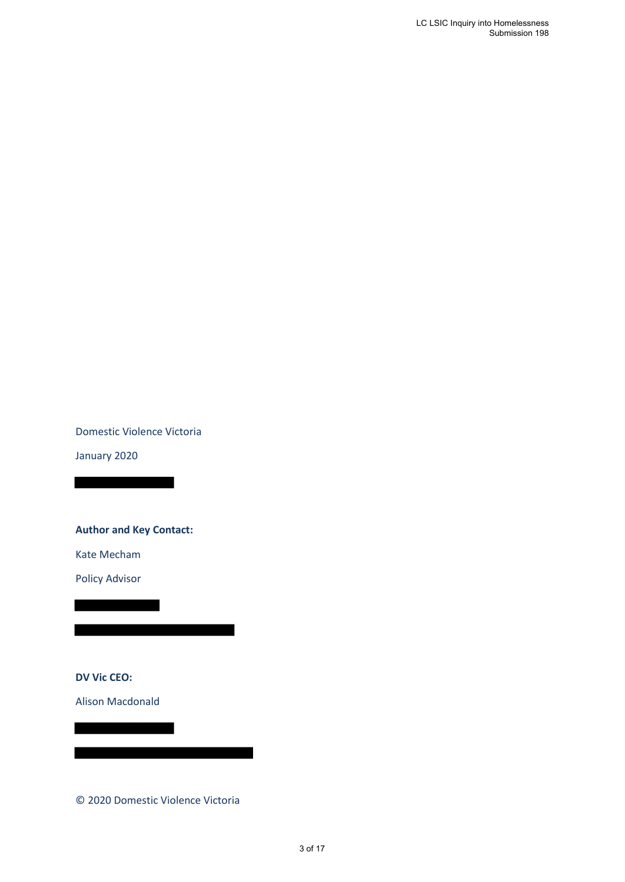Domestic Violence Victoria

January 2020

**Author and Key Contact:**

Kate Mecham

Policy Advisor

**DV Vic CEO:**

Alison Macdonald

© 2020 Domestic Violence Victoria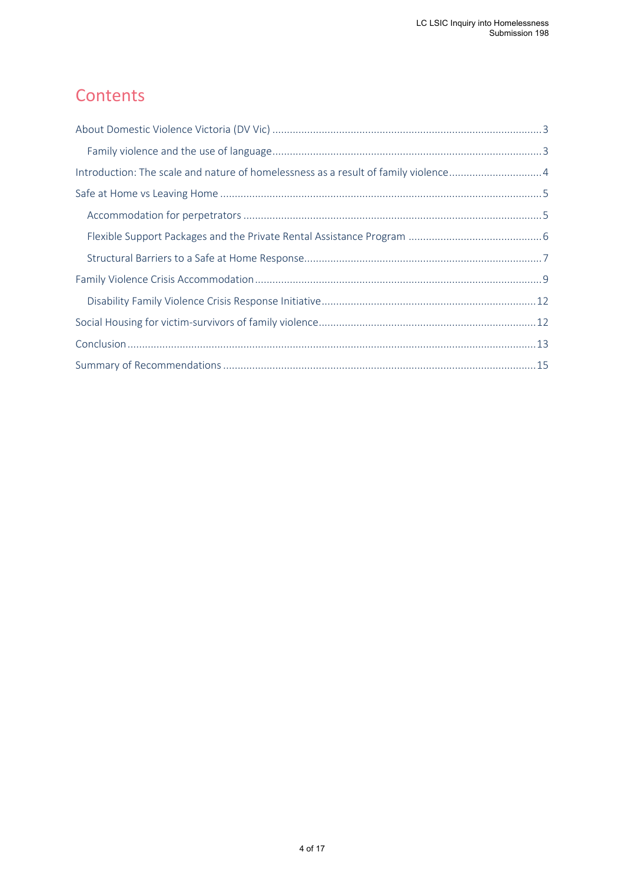# **Contents**

| Introduction: The scale and nature of homelessness as a result of family violence4 |  |
|------------------------------------------------------------------------------------|--|
|                                                                                    |  |
|                                                                                    |  |
|                                                                                    |  |
|                                                                                    |  |
|                                                                                    |  |
|                                                                                    |  |
|                                                                                    |  |
|                                                                                    |  |
|                                                                                    |  |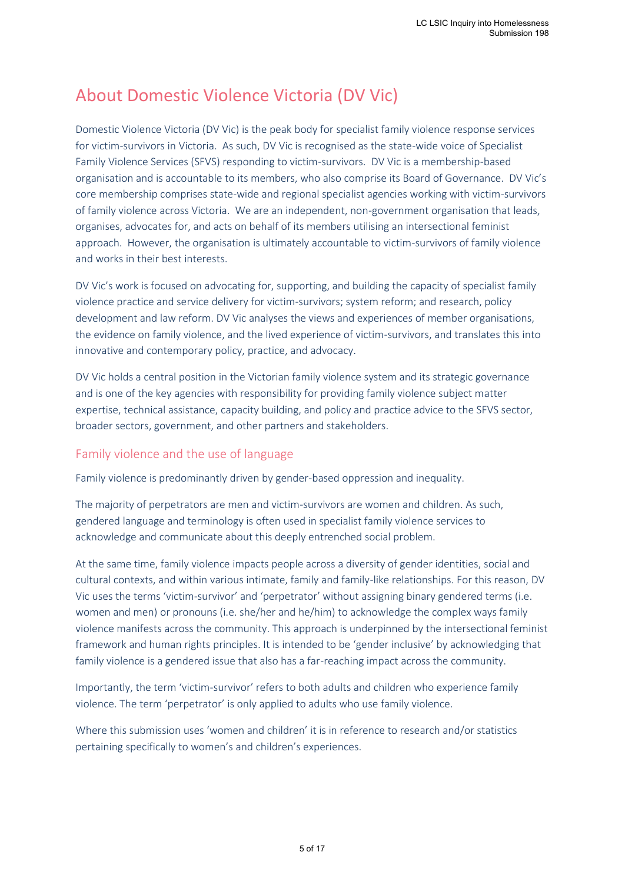# <span id="page-4-0"></span>About Domestic Violence Victoria (DV Vic)

Domestic Violence Victoria (DV Vic) is the peak body for specialist family violence response services for victim-survivors in Victoria. As such, DV Vic is recognised as the state-wide voice of Specialist Family Violence Services (SFVS) responding to victim-survivors. DV Vic is a membership-based organisation and is accountable to its members, who also comprise its Board of Governance. DV Vic's core membership comprises state-wide and regional specialist agencies working with victim-survivors of family violence across Victoria. We are an independent, non-government organisation that leads, organises, advocates for, and acts on behalf of its members utilising an intersectional feminist approach. However, the organisation is ultimately accountable to victim-survivors of family violence and works in their best interests.

DV Vic's work is focused on advocating for, supporting, and building the capacity of specialist family violence practice and service delivery for victim-survivors; system reform; and research, policy development and law reform. DV Vic analyses the views and experiences of member organisations, the evidence on family violence, and the lived experience of victim-survivors, and translates this into innovative and contemporary policy, practice, and advocacy.

DV Vic holds a central position in the Victorian family violence system and its strategic governance and is one of the key agencies with responsibility for providing family violence subject matter expertise, technical assistance, capacity building, and policy and practice advice to the SFVS sector, broader sectors, government, and other partners and stakeholders.

### <span id="page-4-1"></span>Family violence and the use of language

Family violence is predominantly driven by gender-based oppression and inequality.

The majority of perpetrators are men and victim-survivors are women and children. As such, gendered language and terminology is often used in specialist family violence services to acknowledge and communicate about this deeply entrenched social problem.

At the same time, family violence impacts people across a diversity of gender identities, social and cultural contexts, and within various intimate, family and family-like relationships. For this reason, DV Vic uses the terms 'victim-survivor' and 'perpetrator' without assigning binary gendered terms (i.e. women and men) or pronouns (i.e. she/her and he/him) to acknowledge the complex ways family violence manifests across the community. This approach is underpinned by the intersectional feminist framework and human rights principles. It is intended to be 'gender inclusive' by acknowledging that family violence is a gendered issue that also has a far-reaching impact across the community.

Importantly, the term 'victim-survivor' refers to both adults and children who experience family violence. The term 'perpetrator' is only applied to adults who use family violence.

Where this submission uses 'women and children' it is in reference to research and/or statistics pertaining specifically to women's and children's experiences.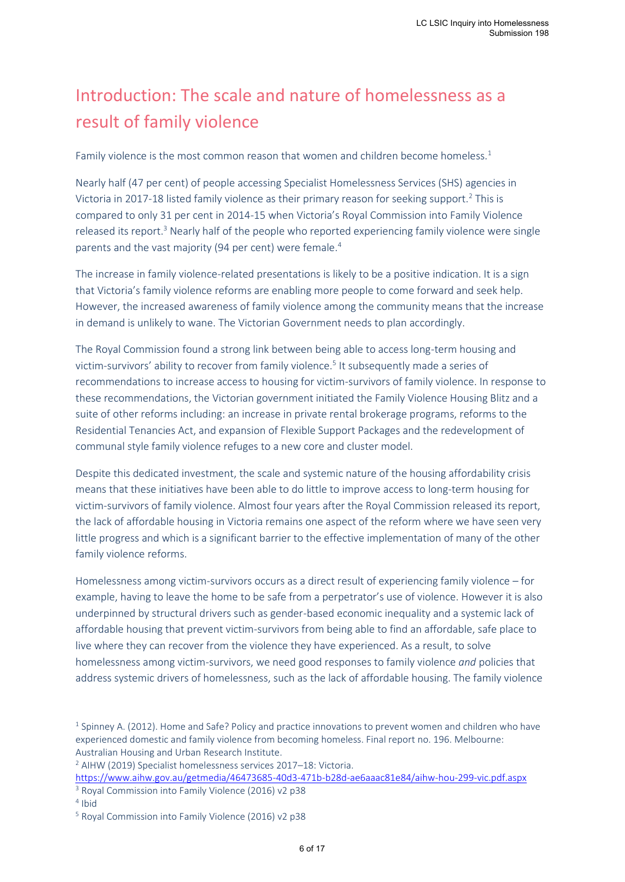# <span id="page-5-0"></span>Introduction: The scale and nature of homelessness as a result of family violence

Family violence is the most common reason that women and children become homeless.<sup>1</sup>

Nearly half (47 per cent) of people accessing Specialist Homelessness Services (SHS) agencies in Victoria in 2017-18 listed family violence as their primary reason for seeking support.<sup>2</sup> This is compared to only 31 per cent in 2014-15 when Victoria's Royal Commission into Family Violence released its report.<sup>3</sup> Nearly half of the people who reported experiencing family violence were single parents and the vast majority (94 per cent) were female.<sup>4</sup>

The increase in family violence-related presentations is likely to be a positive indication. It is a sign that Victoria's family violence reforms are enabling more people to come forward and seek help. However, the increased awareness of family violence among the community means that the increase in demand is unlikely to wane. The Victorian Government needs to plan accordingly.

The Royal Commission found a strong link between being able to access long-term housing and victim-survivors' ability to recover from family violence.<sup>5</sup> It subsequently made a series of recommendations to increase access to housing for victim-survivors of family violence. In response to these recommendations, the Victorian government initiated the Family Violence Housing Blitz and a suite of other reforms including: an increase in private rental brokerage programs, reforms to the Residential Tenancies Act, and expansion of Flexible Support Packages and the redevelopment of communal style family violence refuges to a new core and cluster model.

Despite this dedicated investment, the scale and systemic nature of the housing affordability crisis means that these initiatives have been able to do little to improve access to long-term housing for victim-survivors of family violence. Almost four years after the Royal Commission released its report, the lack of affordable housing in Victoria remains one aspect of the reform where we have seen very little progress and which is a significant barrier to the effective implementation of many of the other family violence reforms.

Homelessness among victim-survivors occurs as a direct result of experiencing family violence – for example, having to leave the home to be safe from a perpetrator's use of violence. However it is also underpinned by structural drivers such as gender-based economic inequality and a systemic lack of affordable housing that prevent victim-survivors from being able to find an affordable, safe place to live where they can recover from the violence they have experienced. As a result, to solve homelessness among victim-survivors, we need good responses to family violence *and* policies that address systemic drivers of homelessness, such as the lack of affordable housing. The family violence

https://www.aihw.gov.au/getmedia/46473685-40d3-471b-b28d-ae6aaac81e84/aihw-hou-299-vic.pdf.aspx <sup>3</sup> Royal Commission into Family Violence (2016) v2 p38

 $<sup>1</sup>$  Spinney A. (2012). Home and Safe? Policy and practice innovations to prevent women and children who have</sup> experienced domestic and family violence from becoming homeless. Final report no. 196. Melbourne: Australian Housing and Urban Research Institute.

<sup>2</sup> AIHW (2019) Specialist homelessness services 2017–18: Victoria.

<sup>4</sup> Ibid

<sup>5</sup> Royal Commission into Family Violence (2016) v2 p38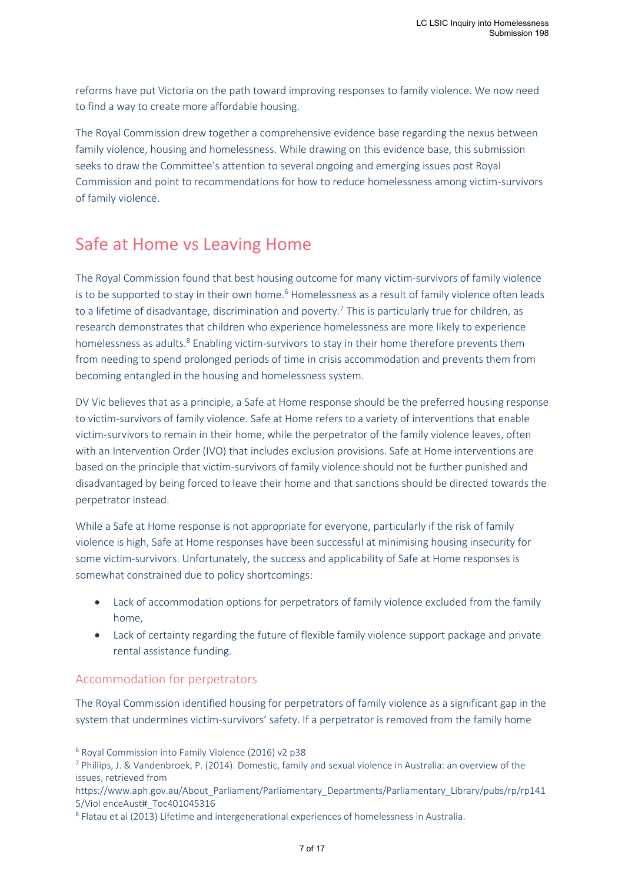reforms have put Victoria on the path toward improving responses to family violence. We now need to find a way to create more affordable housing.

The Royal Commission drew together a comprehensive evidence base regarding the nexus between family violence, housing and homelessness. While drawing on this evidence base, this submission seeks to draw the Committee's attention to several ongoing and emerging issues post Royal Commission and point to recommendations for how to reduce homelessness among victim-survivors of family violence.

# <span id="page-6-0"></span>Safe at Home vs Leaving Home

The Royal Commission found that best housing outcome for many victim-survivors of family violence is to be supported to stay in their own home.<sup>6</sup> Homelessness as a result of family violence often leads to a lifetime of disadvantage, discrimination and poverty.<sup>7</sup> This is particularly true for children, as research demonstrates that children who experience homelessness are more likely to experience homelessness as adults.<sup>8</sup> Enabling victim-survivors to stay in their home therefore prevents them from needing to spend prolonged periods of time in crisis accommodation and prevents them from becoming entangled in the housing and homelessness system.

DV Vic believes that as a principle, a Safe at Home response should be the preferred housing response to victim-survivors of family violence. Safe at Home refers to a variety of interventions that enable victim-survivors to remain in their home, while the perpetrator of the family violence leaves, often with an Intervention Order (IVO) that includes exclusion provisions. Safe at Home interventions are based on the principle that victim-survivors of family violence should not be further punished and disadvantaged by being forced to leave their home and that sanctions should be directed towards the perpetrator instead.

While a Safe at Home response is not appropriate for everyone, particularly if the risk of family violence is high, Safe at Home responses have been successful at minimising housing insecurity for some victim-survivors. Unfortunately, the success and applicability of Safe at Home responses is somewhat constrained due to policy shortcomings:

- Lack of accommodation options for perpetrators of family violence excluded from the family home,
- Lack of certainty regarding the future of flexible family violence support package and private rental assistance funding.

## <span id="page-6-1"></span>Accommodation for perpetrators

The Royal Commission identified housing for perpetrators of family violence as a significant gap in the system that undermines victim-survivors' safety. If a perpetrator is removed from the family home

<sup>6</sup> Royal Commission into Family Violence (2016) v2 p38

<sup>7</sup> Phillips, J. & Vandenbroek, P. (2014). Domestic, family and sexual violence in Australia: an overview of the issues, retrieved from

https://www.aph.gov.au/About\_Parliament/Parliamentary\_Departments/Parliamentary\_Library/pubs/rp/rp141 5/Viol enceAust#\_Toc401045316

<sup>&</sup>lt;sup>8</sup> Flatau et al (2013) Lifetime and intergenerational experiences of homelessness in Australia.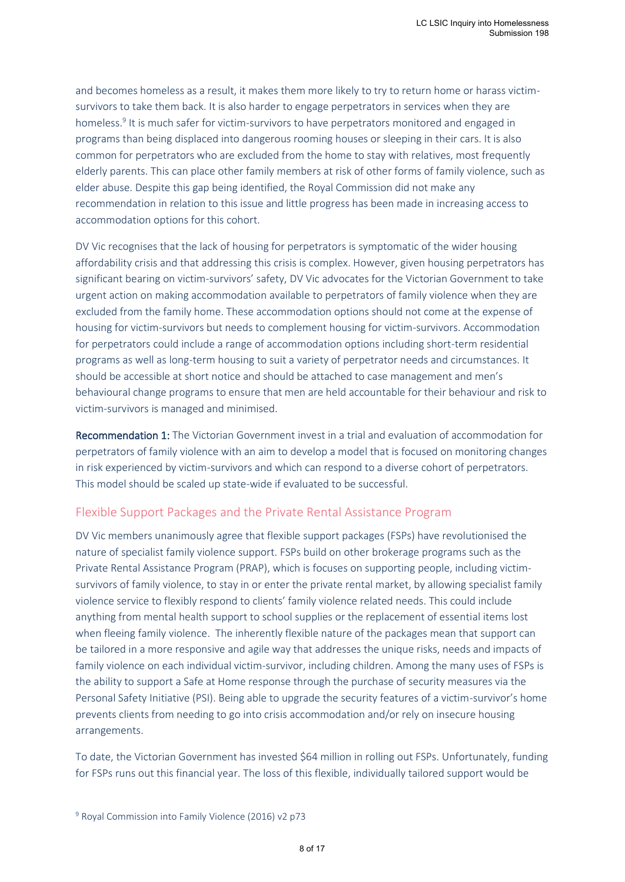and becomes homeless as a result, it makes them more likely to try to return home or harass victimsurvivors to take them back. It is also harder to engage perpetrators in services when they are homeless.<sup>9</sup> It is much safer for victim-survivors to have perpetrators monitored and engaged in programs than being displaced into dangerous rooming houses or sleeping in their cars. It is also common for perpetrators who are excluded from the home to stay with relatives, most frequently elderly parents. This can place other family members at risk of other forms of family violence, such as elder abuse. Despite this gap being identified, the Royal Commission did not make any recommendation in relation to this issue and little progress has been made in increasing access to accommodation options for this cohort.

DV Vic recognises that the lack of housing for perpetrators is symptomatic of the wider housing affordability crisis and that addressing this crisis is complex. However, given housing perpetrators has significant bearing on victim-survivors' safety, DV Vic advocates for the Victorian Government to take urgent action on making accommodation available to perpetrators of family violence when they are excluded from the family home. These accommodation options should not come at the expense of housing for victim-survivors but needs to complement housing for victim-survivors. Accommodation for perpetrators could include a range of accommodation options including short-term residential programs as well as long-term housing to suit a variety of perpetrator needs and circumstances. It should be accessible at short notice and should be attached to case management and men's behavioural change programs to ensure that men are held accountable for their behaviour and risk to victim-survivors is managed and minimised.

Recommendation 1: The Victorian Government invest in a trial and evaluation of accommodation for perpetrators of family violence with an aim to develop a model that is focused on monitoring changes in risk experienced by victim-survivors and which can respond to a diverse cohort of perpetrators. This model should be scaled up state-wide if evaluated to be successful.

### <span id="page-7-0"></span>Flexible Support Packages and the Private Rental Assistance Program

DV Vic members unanimously agree that flexible support packages (FSPs) have revolutionised the nature of specialist family violence support. FSPs build on other brokerage programs such as the Private Rental Assistance Program (PRAP), which is focuses on supporting people, including victimsurvivors of family violence, to stay in or enter the private rental market, by allowing specialist family violence service to flexibly respond to clients' family violence related needs. This could include anything from mental health support to school supplies or the replacement of essential items lost when fleeing family violence. The inherently flexible nature of the packages mean that support can be tailored in a more responsive and agile way that addresses the unique risks, needs and impacts of family violence on each individual victim-survivor, including children. Among the many uses of FSPs is the ability to support a Safe at Home response through the purchase of security measures via the Personal Safety Initiative (PSI). Being able to upgrade the security features of a victim-survivor's home prevents clients from needing to go into crisis accommodation and/or rely on insecure housing arrangements.

To date, the Victorian Government has invested \$64 million in rolling out FSPs. Unfortunately, funding for FSPs runs out this financial year. The loss of this flexible, individually tailored support would be

<sup>&</sup>lt;sup>9</sup> Royal Commission into Family Violence (2016) v2 p73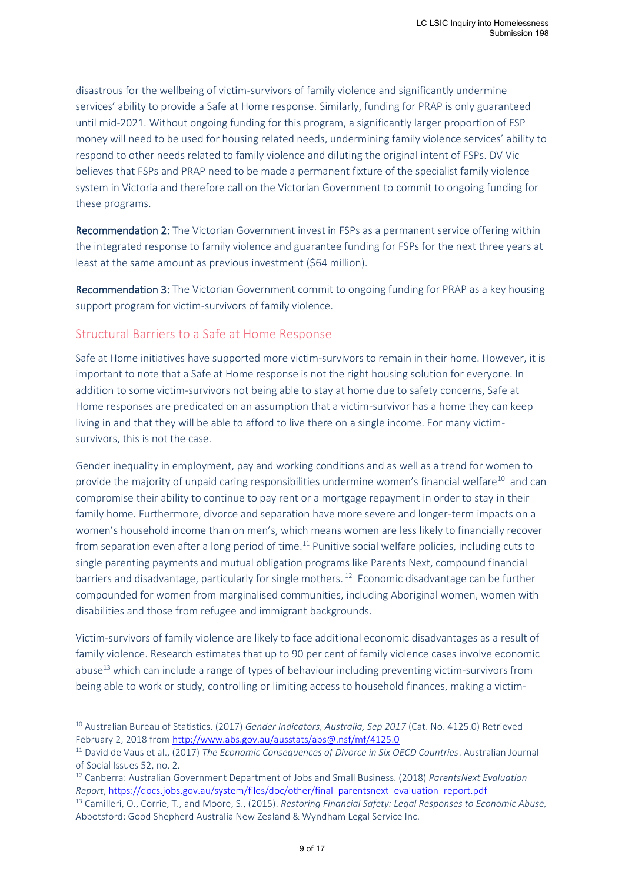disastrous for the wellbeing of victim-survivors of family violence and significantly undermine services' ability to provide a Safe at Home response. Similarly, funding for PRAP is only guaranteed until mid-2021. Without ongoing funding for this program, a significantly larger proportion of FSP money will need to be used for housing related needs, undermining family violence services' ability to respond to other needs related to family violence and diluting the original intent of FSPs. DV Vic believes that FSPs and PRAP need to be made a permanent fixture of the specialist family violence system in Victoria and therefore call on the Victorian Government to commit to ongoing funding for these programs.

Recommendation 2: The Victorian Government invest in FSPs as a permanent service offering within the integrated response to family violence and guarantee funding for FSPs for the next three years at least at the same amount as previous investment (\$64 million).

Recommendation 3: The Victorian Government commit to ongoing funding for PRAP as a key housing support program for victim-survivors of family violence.

### <span id="page-8-0"></span>Structural Barriers to a Safe at Home Response

Safe at Home initiatives have supported more victim-survivors to remain in their home. However, it is important to note that a Safe at Home response is not the right housing solution for everyone. In addition to some victim-survivors not being able to stay at home due to safety concerns, Safe at Home responses are predicated on an assumption that a victim-survivor has a home they can keep living in and that they will be able to afford to live there on a single income. For many victimsurvivors, this is not the case.

Gender inequality in employment, pay and working conditions and as well as a trend for women to provide the majority of unpaid caring responsibilities undermine women's financial welfare<sup>10</sup> and can compromise their ability to continue to pay rent or a mortgage repayment in order to stay in their family home. Furthermore, divorce and separation have more severe and longer-term impacts on a women's household income than on men's, which means women are less likely to financially recover from separation even after a long period of time.<sup>11</sup> Punitive social welfare policies, including cuts to single parenting payments and mutual obligation programs like Parents Next, compound financial barriers and disadvantage, particularly for single mothers.<sup>12</sup> Economic disadvantage can be further compounded for women from marginalised communities, including Aboriginal women, women with disabilities and those from refugee and immigrant backgrounds.

Victim-survivors of family violence are likely to face additional economic disadvantages as a result of family violence. Research estimates that up to 90 per cent of family violence cases involve economic abuse<sup>13</sup> which can include a range of types of behaviour including preventing victim-survivors from being able to work or study, controlling or limiting access to household finances, making a victim-

<sup>12</sup> Canberra: Australian Government Department of Jobs and Small Business. (2018) *ParentsNext Evaluation Report*, https://docs.jobs.gov.au/system/files/doc/other/final parentsnext evaluation report.pdf

<sup>10</sup> Australian Bureau of Statistics. (2017) *Gender Indicators, Australia, Sep 2017* (Cat. No. 4125.0) Retrieved February 2, 2018 from http://www.abs.gov.au/ausstats/abs@.nsf/mf/4125.0

<sup>11</sup> David de Vaus et al., (2017) *The Economic Consequences of Divorce in Six OECD Countries*. Australian Journal of Social Issues 52, no. 2.

<sup>13</sup> Camilleri, O., Corrie, T., and Moore, S., (2015). *Restoring Financial Safety: Legal Responses to Economic Abuse,*  Abbotsford: Good Shepherd Australia New Zealand & Wyndham Legal Service Inc.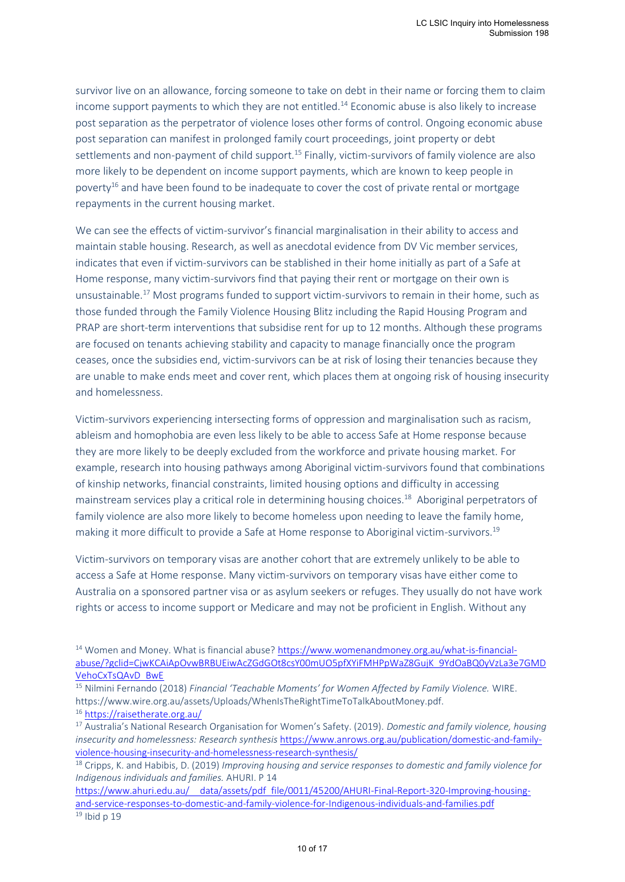survivor live on an allowance, forcing someone to take on debt in their name or forcing them to claim income support payments to which they are not entitled.<sup>14</sup> Economic abuse is also likely to increase post separation as the perpetrator of violence loses other forms of control. Ongoing economic abuse post separation can manifest in prolonged family court proceedings, joint property or debt settlements and non-payment of child support.<sup>15</sup> Finally, victim-survivors of family violence are also more likely to be dependent on income support payments, which are known to keep people in poverty<sup>16</sup> and have been found to be inadequate to cover the cost of private rental or mortgage repayments in the current housing market.

We can see the effects of victim-survivor's financial marginalisation in their ability to access and maintain stable housing. Research, as well as anecdotal evidence from DV Vic member services, indicates that even if victim-survivors can be stablished in their home initially as part of a Safe at Home response, many victim-survivors find that paying their rent or mortgage on their own is unsustainable.<sup>17</sup> Most programs funded to support victim-survivors to remain in their home, such as those funded through the Family Violence Housing Blitz including the Rapid Housing Program and PRAP are short-term interventions that subsidise rent for up to 12 months. Although these programs are focused on tenants achieving stability and capacity to manage financially once the program ceases, once the subsidies end, victim-survivors can be at risk of losing their tenancies because they are unable to make ends meet and cover rent, which places them at ongoing risk of housing insecurity and homelessness.

Victim-survivors experiencing intersecting forms of oppression and marginalisation such as racism, ableism and homophobia are even less likely to be able to access Safe at Home response because they are more likely to be deeply excluded from the workforce and private housing market. For example, research into housing pathways among Aboriginal victim-survivors found that combinations of kinship networks, financial constraints, limited housing options and difficulty in accessing mainstream services play a critical role in determining housing choices.<sup>18</sup> Aboriginal perpetrators of family violence are also more likely to become homeless upon needing to leave the family home, making it more difficult to provide a Safe at Home response to Aboriginal victim-survivors.<sup>19</sup>

Victim-survivors on temporary visas are another cohort that are extremely unlikely to be able to access a Safe at Home response. Many victim-survivors on temporary visas have either come to Australia on a sponsored partner visa or as asylum seekers or refuges. They usually do not have work rights or access to income support or Medicare and may not be proficient in English. Without any

<sup>14</sup> Women and Money. What is financial abuse? https://www.womenandmoney.org.au/what-is-financialabuse/?gclid=CjwKCAiApOvwBRBUEiwAcZGdGOt8csY00mUO5pfXYiFMHPpWaZ8GujK 9YdOaBQ0yVzLa3e7GMD VehoCxTsQAvD BwE

<sup>15</sup> Nilmini Fernando (2018) *Financial 'Teachable Moments' for Women Affected by Family Violence.* WIRE. https://www.wire.org.au/assets/Uploads/WhenIsTheRightTimeToTalkAboutMoney.pdf.

<sup>16</sup> https://raisetherate.org.au/

<sup>17</sup> Australia's National Research Organisation for Women's Safety. (2019). *Domestic and family violence, housing insecurity and homelessness: Research synthesis* https://www.anrows.org.au/publication/domestic-and-familyviolence-housing-insecurity-and-homelessness-research-synthesis/

<sup>18</sup> Cripps, K. and Habibis, D. (2019) *Improving housing and service responses to domestic and family violence for Indigenous individuals and families.* AHURI. P 14

https://www.ahuri.edu.au/ data/assets/pdf file/0011/45200/AHURI-Final-Report-320-Improving-housingand-service-responses-to-domestic-and-family-violence-for-Indigenous-individuals-and-families.pdf  $19$  Ibid p 19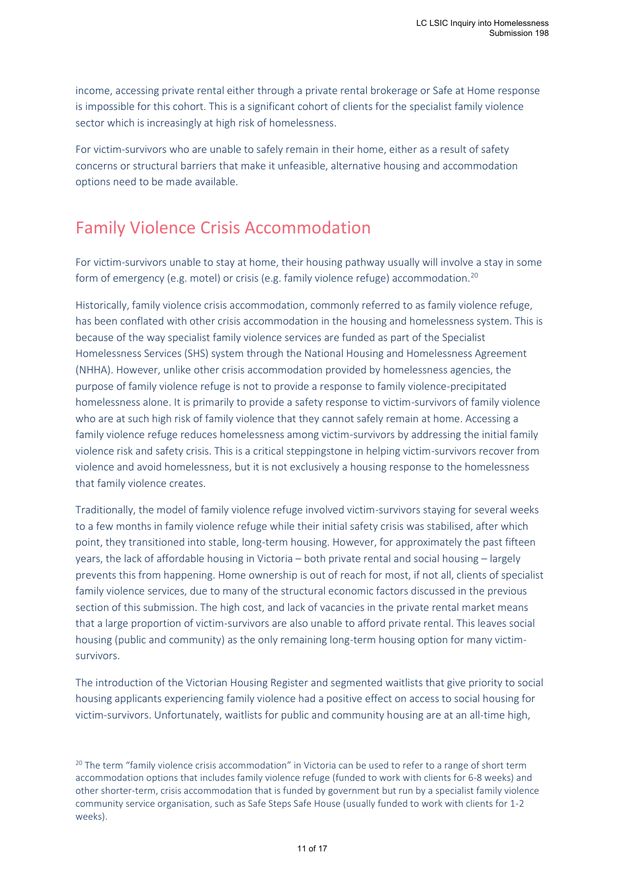income, accessing private rental either through a private rental brokerage or Safe at Home response is impossible for this cohort. This is a significant cohort of clients for the specialist family violence sector which is increasingly at high risk of homelessness.

For victim-survivors who are unable to safely remain in their home, either as a result of safety concerns or structural barriers that make it unfeasible, alternative housing and accommodation options need to be made available.

# <span id="page-10-0"></span>Family Violence Crisis Accommodation

For victim-survivors unable to stay at home, their housing pathway usually will involve a stay in some form of emergency (e.g. motel) or crisis (e.g. family violence refuge) accommodation.<sup>20</sup>

Historically, family violence crisis accommodation, commonly referred to as family violence refuge, has been conflated with other crisis accommodation in the housing and homelessness system. This is because of the way specialist family violence services are funded as part of the Specialist Homelessness Services (SHS) system through the National Housing and Homelessness Agreement (NHHA). However, unlike other crisis accommodation provided by homelessness agencies, the purpose of family violence refuge is not to provide a response to family violence-precipitated homelessness alone. It is primarily to provide a safety response to victim-survivors of family violence who are at such high risk of family violence that they cannot safely remain at home. Accessing a family violence refuge reduces homelessness among victim-survivors by addressing the initial family violence risk and safety crisis. This is a critical steppingstone in helping victim-survivors recover from violence and avoid homelessness, but it is not exclusively a housing response to the homelessness that family violence creates.

Traditionally, the model of family violence refuge involved victim-survivors staying for several weeks to a few months in family violence refuge while their initial safety crisis was stabilised, after which point, they transitioned into stable, long-term housing. However, for approximately the past fifteen years, the lack of affordable housing in Victoria – both private rental and social housing – largely prevents this from happening. Home ownership is out of reach for most, if not all, clients of specialist family violence services, due to many of the structural economic factors discussed in the previous section of this submission. The high cost, and lack of vacancies in the private rental market means that a large proportion of victim-survivors are also unable to afford private rental. This leaves social housing (public and community) as the only remaining long-term housing option for many victimsurvivors.

The introduction of the Victorian Housing Register and segmented waitlists that give priority to social housing applicants experiencing family violence had a positive effect on access to social housing for victim-survivors. Unfortunately, waitlists for public and community housing are at an all-time high,

<sup>&</sup>lt;sup>20</sup> The term "family violence crisis accommodation" in Victoria can be used to refer to a range of short term accommodation options that includes family violence refuge (funded to work with clients for 6-8 weeks) and other shorter-term, crisis accommodation that is funded by government but run by a specialist family violence community service organisation, such as Safe Steps Safe House (usually funded to work with clients for 1-2 weeks).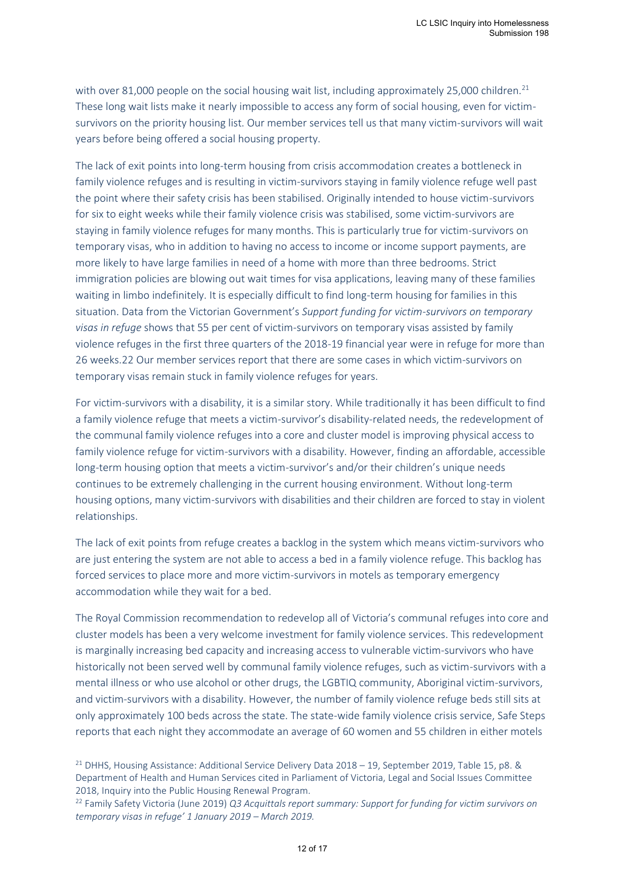with over 81,000 people on the social housing wait list, including approximately 25,000 children.<sup>21</sup> These long wait lists make it nearly impossible to access any form of social housing, even for victimsurvivors on the priority housing list. Our member services tell us that many victim-survivors will wait years before being offered a social housing property.

The lack of exit points into long-term housing from crisis accommodation creates a bottleneck in family violence refuges and is resulting in victim-survivors staying in family violence refuge well past the point where their safety crisis has been stabilised. Originally intended to house victim-survivors for six to eight weeks while their family violence crisis was stabilised, some victim-survivors are staying in family violence refuges for many months. This is particularly true for victim-survivors on temporary visas, who in addition to having no access to income or income support payments, are more likely to have large families in need of a home with more than three bedrooms. Strict immigration policies are blowing out wait times for visa applications, leaving many of these families waiting in limbo indefinitely. It is especially difficult to find long-term housing for families in this situation. Data from the Victorian Government's *Support funding for victim-survivors on temporary visas in refuge* shows that 55 per cent of victim-survivors on temporary visas assisted by family violence refuges in the first three quarters of the 2018-19 financial year were in refuge for more than 26 weeks.22 Our member services report that there are some cases in which victim-survivors on temporary visas remain stuck in family violence refuges for years.

For victim-survivors with a disability, it is a similar story. While traditionally it has been difficult to find a family violence refuge that meets a victim-survivor's disability-related needs, the redevelopment of the communal family violence refuges into a core and cluster model is improving physical access to family violence refuge for victim-survivors with a disability. However, finding an affordable, accessible long-term housing option that meets a victim-survivor's and/or their children's unique needs continues to be extremely challenging in the current housing environment. Without long-term housing options, many victim-survivors with disabilities and their children are forced to stay in violent relationships.

The lack of exit points from refuge creates a backlog in the system which means victim-survivors who are just entering the system are not able to access a bed in a family violence refuge. This backlog has forced services to place more and more victim-survivors in motels as temporary emergency accommodation while they wait for a bed.

The Royal Commission recommendation to redevelop all of Victoria's communal refuges into core and cluster models has been a very welcome investment for family violence services. This redevelopment is marginally increasing bed capacity and increasing access to vulnerable victim-survivors who have historically not been served well by communal family violence refuges, such as victim-survivors with a mental illness or who use alcohol or other drugs, the LGBTIQ community, Aboriginal victim-survivors, and victim-survivors with a disability. However, the number of family violence refuge beds still sits at only approximately 100 beds across the state. The state-wide family violence crisis service, Safe Steps reports that each night they accommodate an average of 60 women and 55 children in either motels

<sup>&</sup>lt;sup>21</sup> DHHS, Housing Assistance: Additional Service Delivery Data  $2018 - 19$ , September 2019, Table 15, p8. & Department of Health and Human Services cited in Parliament of Victoria, Legal and Social Issues Committee 2018, Inquiry into the Public Housing Renewal Program.

<sup>22</sup> Family Safety Victoria (June 2019) *Q3 Acquittals report summary: Support for funding for victim survivors on temporary visas in refuge' 1 January 2019 – March 2019.*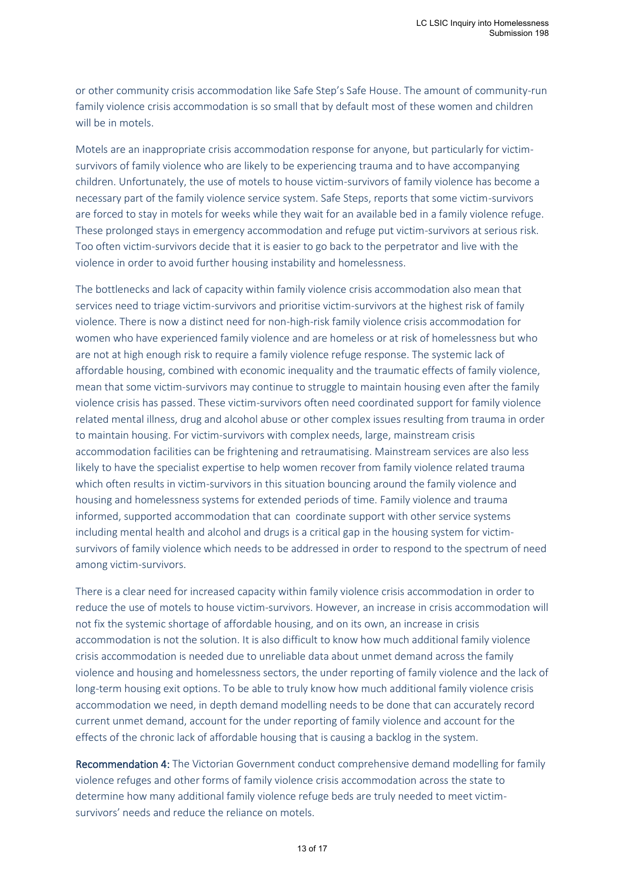or other community crisis accommodation like Safe Step's Safe House. The amount of community-run family violence crisis accommodation is so small that by default most of these women and children will be in motels.

Motels are an inappropriate crisis accommodation response for anyone, but particularly for victimsurvivors of family violence who are likely to be experiencing trauma and to have accompanying children. Unfortunately, the use of motels to house victim-survivors of family violence has become a necessary part of the family violence service system. Safe Steps, reports that some victim-survivors are forced to stay in motels for weeks while they wait for an available bed in a family violence refuge. These prolonged stays in emergency accommodation and refuge put victim-survivors at serious risk. Too often victim-survivors decide that it is easier to go back to the perpetrator and live with the violence in order to avoid further housing instability and homelessness.

The bottlenecks and lack of capacity within family violence crisis accommodation also mean that services need to triage victim-survivors and prioritise victim-survivors at the highest risk of family violence. There is now a distinct need for non-high-risk family violence crisis accommodation for women who have experienced family violence and are homeless or at risk of homelessness but who are not at high enough risk to require a family violence refuge response. The systemic lack of affordable housing, combined with economic inequality and the traumatic effects of family violence, mean that some victim-survivors may continue to struggle to maintain housing even after the family violence crisis has passed. These victim-survivors often need coordinated support for family violence related mental illness, drug and alcohol abuse or other complex issues resulting from trauma in order to maintain housing. For victim-survivors with complex needs, large, mainstream crisis accommodation facilities can be frightening and retraumatising. Mainstream services are also less likely to have the specialist expertise to help women recover from family violence related trauma which often results in victim-survivors in this situation bouncing around the family violence and housing and homelessness systems for extended periods of time. Family violence and trauma informed, supported accommodation that can coordinate support with other service systems including mental health and alcohol and drugs is a critical gap in the housing system for victimsurvivors of family violence which needs to be addressed in order to respond to the spectrum of need among victim-survivors.

There is a clear need for increased capacity within family violence crisis accommodation in order to reduce the use of motels to house victim-survivors. However, an increase in crisis accommodation will not fix the systemic shortage of affordable housing, and on its own, an increase in crisis accommodation is not the solution. It is also difficult to know how much additional family violence crisis accommodation is needed due to unreliable data about unmet demand across the family violence and housing and homelessness sectors, the under reporting of family violence and the lack of long-term housing exit options. To be able to truly know how much additional family violence crisis accommodation we need, in depth demand modelling needs to be done that can accurately record current unmet demand, account for the under reporting of family violence and account for the effects of the chronic lack of affordable housing that is causing a backlog in the system.

Recommendation 4: The Victorian Government conduct comprehensive demand modelling for family violence refuges and other forms of family violence crisis accommodation across the state to determine how many additional family violence refuge beds are truly needed to meet victimsurvivors' needs and reduce the reliance on motels.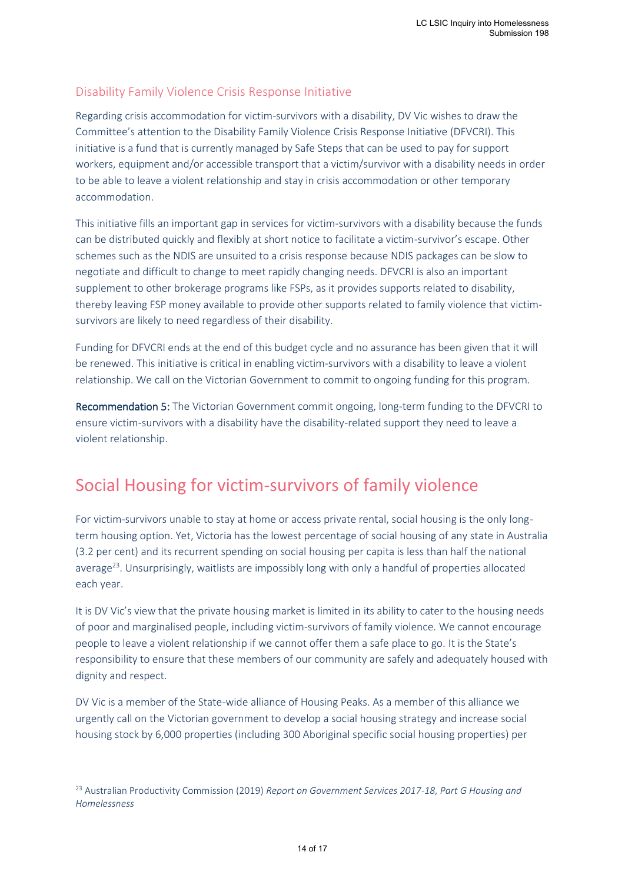### <span id="page-13-0"></span>Disability Family Violence Crisis Response Initiative

Regarding crisis accommodation for victim-survivors with a disability, DV Vic wishes to draw the Committee's attention to the Disability Family Violence Crisis Response Initiative (DFVCRI). This initiative is a fund that is currently managed by Safe Steps that can be used to pay for support workers, equipment and/or accessible transport that a victim/survivor with a disability needs in order to be able to leave a violent relationship and stay in crisis accommodation or other temporary accommodation.

This initiative fills an important gap in services for victim-survivors with a disability because the funds can be distributed quickly and flexibly at short notice to facilitate a victim-survivor's escape. Other schemes such as the NDIS are unsuited to a crisis response because NDIS packages can be slow to negotiate and difficult to change to meet rapidly changing needs. DFVCRI is also an important supplement to other brokerage programs like FSPs, as it provides supports related to disability, thereby leaving FSP money available to provide other supports related to family violence that victimsurvivors are likely to need regardless of their disability.

Funding for DFVCRI ends at the end of this budget cycle and no assurance has been given that it will be renewed. This initiative is critical in enabling victim-survivors with a disability to leave a violent relationship. We call on the Victorian Government to commit to ongoing funding for this program.

Recommendation 5: The Victorian Government commit ongoing, long-term funding to the DFVCRI to ensure victim-survivors with a disability have the disability-related support they need to leave a violent relationship.

# <span id="page-13-1"></span>Social Housing for victim-survivors of family violence

For victim-survivors unable to stay at home or access private rental, social housing is the only longterm housing option. Yet, Victoria has the lowest percentage of social housing of any state in Australia (3.2 per cent) and its recurrent spending on social housing per capita is less than half the national average<sup>23</sup>. Unsurprisingly, waitlists are impossibly long with only a handful of properties allocated each year.

It is DV Vic's view that the private housing market is limited in its ability to cater to the housing needs of poor and marginalised people, including victim-survivors of family violence. We cannot encourage people to leave a violent relationship if we cannot offer them a safe place to go. It is the State's responsibility to ensure that these members of our community are safely and adequately housed with dignity and respect.

DV Vic is a member of the State-wide alliance of Housing Peaks. As a member of this alliance we urgently call on the Victorian government to develop a social housing strategy and increase social housing stock by 6,000 properties (including 300 Aboriginal specific social housing properties) per

<sup>23</sup> Australian Productivity Commission (2019) *Report on Government Services 2017-18, Part G Housing and Homelessness*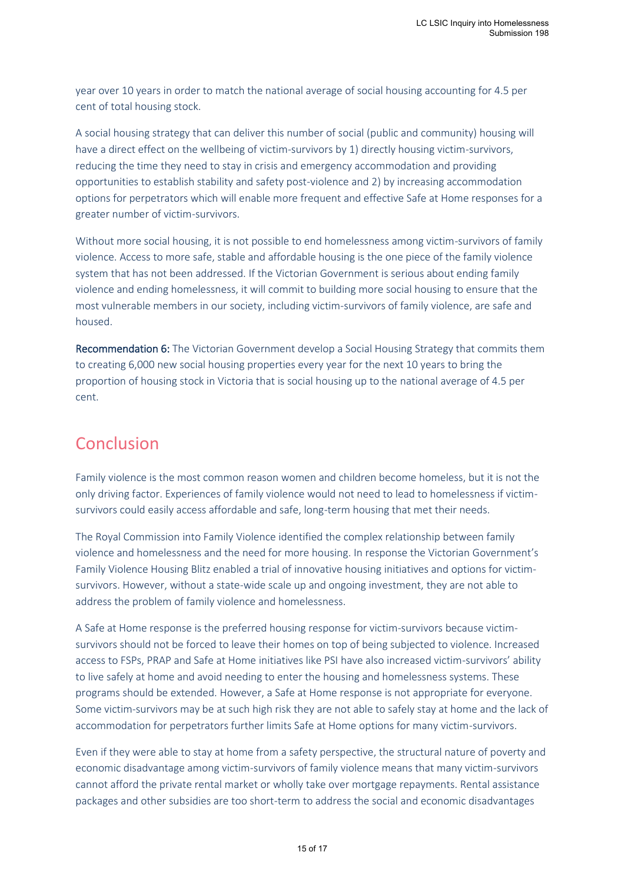year over 10 years in order to match the national average of social housing accounting for 4.5 per cent of total housing stock.

A social housing strategy that can deliver this number of social (public and community) housing will have a direct effect on the wellbeing of victim-survivors by 1) directly housing victim-survivors, reducing the time they need to stay in crisis and emergency accommodation and providing opportunities to establish stability and safety post-violence and 2) by increasing accommodation options for perpetrators which will enable more frequent and effective Safe at Home responses for a greater number of victim-survivors.

Without more social housing, it is not possible to end homelessness among victim-survivors of family violence. Access to more safe, stable and affordable housing is the one piece of the family violence system that has not been addressed. If the Victorian Government is serious about ending family violence and ending homelessness, it will commit to building more social housing to ensure that the most vulnerable members in our society, including victim-survivors of family violence, are safe and housed.

Recommendation 6: The Victorian Government develop a Social Housing Strategy that commits them to creating 6,000 new social housing properties every year for the next 10 years to bring the proportion of housing stock in Victoria that is social housing up to the national average of 4.5 per cent.

# <span id="page-14-0"></span>Conclusion

Family violence is the most common reason women and children become homeless, but it is not the only driving factor. Experiences of family violence would not need to lead to homelessness if victimsurvivors could easily access affordable and safe, long-term housing that met their needs.

The Royal Commission into Family Violence identified the complex relationship between family violence and homelessness and the need for more housing. In response the Victorian Government's Family Violence Housing Blitz enabled a trial of innovative housing initiatives and options for victimsurvivors. However, without a state-wide scale up and ongoing investment, they are not able to address the problem of family violence and homelessness.

A Safe at Home response is the preferred housing response for victim-survivors because victimsurvivors should not be forced to leave their homes on top of being subjected to violence. Increased access to FSPs, PRAP and Safe at Home initiatives like PSI have also increased victim-survivors' ability to live safely at home and avoid needing to enter the housing and homelessness systems. These programs should be extended. However, a Safe at Home response is not appropriate for everyone. Some victim-survivors may be at such high risk they are not able to safely stay at home and the lack of accommodation for perpetrators further limits Safe at Home options for many victim-survivors.

Even if they were able to stay at home from a safety perspective, the structural nature of poverty and economic disadvantage among victim-survivors of family violence means that many victim-survivors cannot afford the private rental market or wholly take over mortgage repayments. Rental assistance packages and other subsidies are too short-term to address the social and economic disadvantages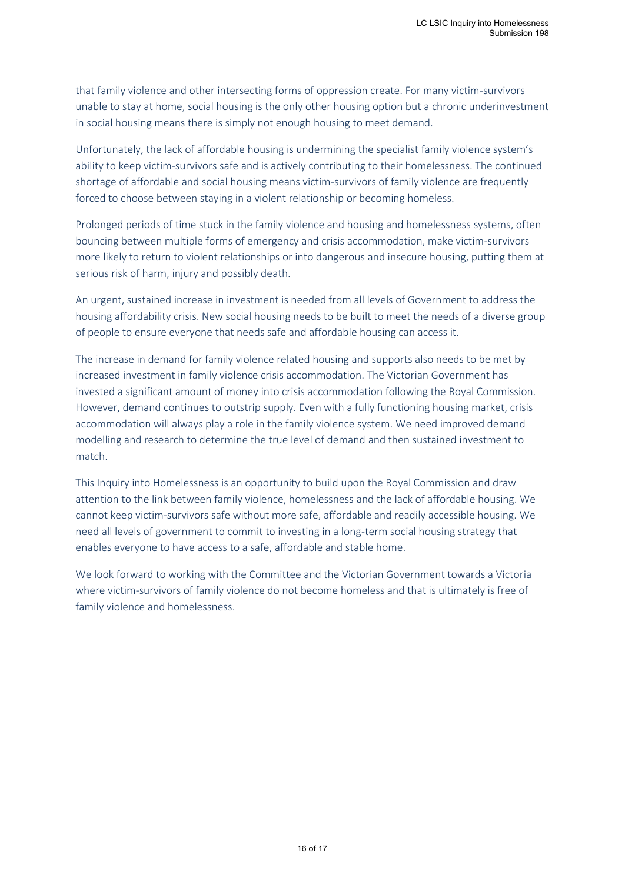that family violence and other intersecting forms of oppression create. For many victim-survivors unable to stay at home, social housing is the only other housing option but a chronic underinvestment in social housing means there is simply not enough housing to meet demand.

Unfortunately, the lack of affordable housing is undermining the specialist family violence system's ability to keep victim-survivors safe and is actively contributing to their homelessness. The continued shortage of affordable and social housing means victim-survivors of family violence are frequently forced to choose between staying in a violent relationship or becoming homeless.

Prolonged periods of time stuck in the family violence and housing and homelessness systems, often bouncing between multiple forms of emergency and crisis accommodation, make victim-survivors more likely to return to violent relationships or into dangerous and insecure housing, putting them at serious risk of harm, injury and possibly death.

An urgent, sustained increase in investment is needed from all levels of Government to address the housing affordability crisis. New social housing needs to be built to meet the needs of a diverse group of people to ensure everyone that needs safe and affordable housing can access it.

The increase in demand for family violence related housing and supports also needs to be met by increased investment in family violence crisis accommodation. The Victorian Government has invested a significant amount of money into crisis accommodation following the Royal Commission. However, demand continues to outstrip supply. Even with a fully functioning housing market, crisis accommodation will always play a role in the family violence system. We need improved demand modelling and research to determine the true level of demand and then sustained investment to match.

This Inquiry into Homelessness is an opportunity to build upon the Royal Commission and draw attention to the link between family violence, homelessness and the lack of affordable housing. We cannot keep victim-survivors safe without more safe, affordable and readily accessible housing. We need all levels of government to commit to investing in a long-term social housing strategy that enables everyone to have access to a safe, affordable and stable home.

We look forward to working with the Committee and the Victorian Government towards a Victoria where victim-survivors of family violence do not become homeless and that is ultimately is free of family violence and homelessness.